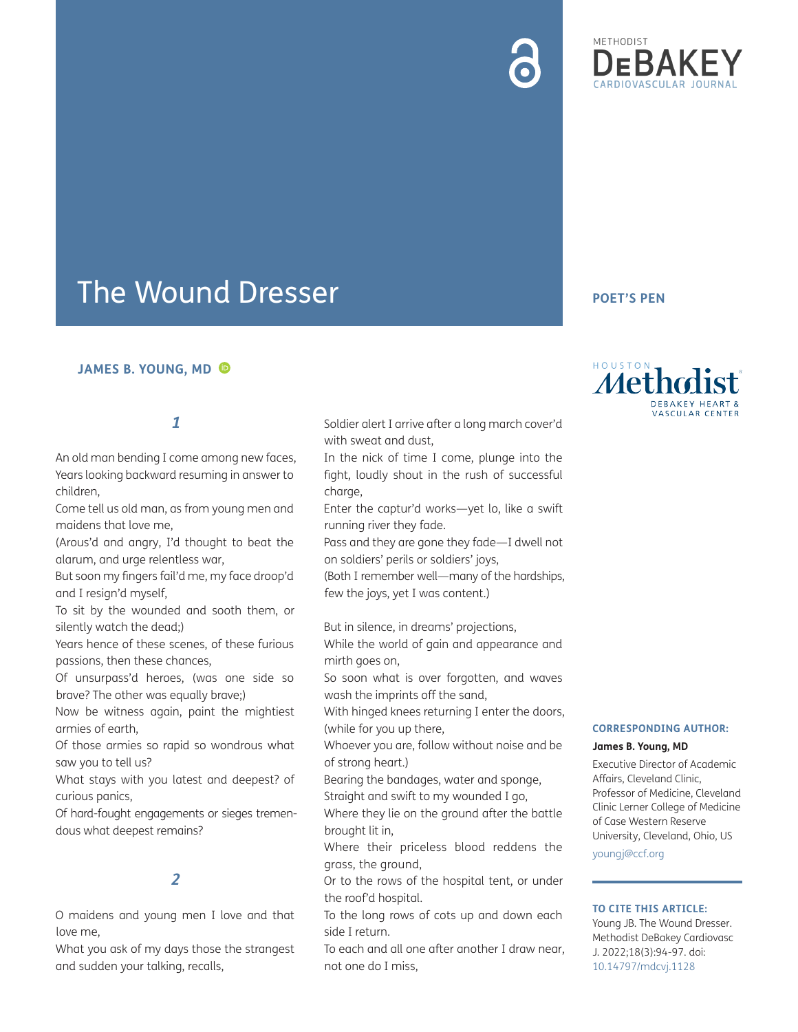# **METHODIST**

## The Wound Dresser

#### **JAMES B. YOUNG, MD**

#### **1**

An old man bending I come among new faces, Years looking backward resuming in answer to children,

Come tell us old man, as from young men and maidens that love me,

(Arous'd and angry, I'd thought to beat the alarum, and urge relentless war,

But soon my fingers fail'd me, my face droop'd and I resign'd myself,

To sit by the wounded and sooth them, or silently watch the dead;)

Years hence of these scenes, of these furious passions, then these chances,

Of unsurpass'd heroes, (was one side so brave? The other was equally brave;)

Now be witness again, paint the mightiest armies of earth,

Of those armies so rapid so wondrous what saw you to tell us?

What stays with you latest and deepest? of curious panics,

Of hard-fought engagements or sieges tremendous what deepest remains?

### **2**

O maidens and young men I love and that love me,

What you ask of my days those the strangest and sudden your talking, recalls,

Soldier alert I arrive after a long march cover'd with sweat and dust,

In the nick of time I come, plunge into the fight, loudly shout in the rush of successful charge,

Enter the captur'd works—yet lo, like a swift running river they fade.

Pass and they are gone they fade—I dwell not on soldiers' perils or soldiers' joys,

(Both I remember well—many of the hardships, few the joys, yet I was content.)

But in silence, in dreams' projections,

While the world of gain and appearance and mirth goes on,

So soon what is over forgotten, and waves wash the imprints off the sand,

With hinged knees returning I enter the doors, (while for you up there,

Whoever you are, follow without noise and be of strong heart.)

Bearing the bandages, water and sponge,

Straight and swift to my wounded I go,

Where they lie on the ground after the battle brought lit in,

Where their priceless blood reddens the grass, the ground,

Or to the rows of the hospital tent, or under the roof'd hospital.

To the long rows of cots up and down each side I return.

To each and all one after another I draw near, not one do I miss,

#### **POET'S PEN**



#### **CORRESPONDING AUTHOR:**

#### **James B. Young, MD**

Executive Director of Academic Affairs, Cleveland Clinic, Professor of Medicine, Cleveland Clinic Lerner College of Medicine of Case Western Reserve University, Cleveland, Ohio, US [youngj@ccf.org](mailto:youngj@ccf.org)

#### **TO CITE THIS ARTICLE:**

Young JB. The Wound Dresser. Methodist DeBakey Cardiovasc J. 2022;18(3):94-97. doi: [10.14797/mdcvj.1128](https://doi.org/10.14797/mdcvj.1128)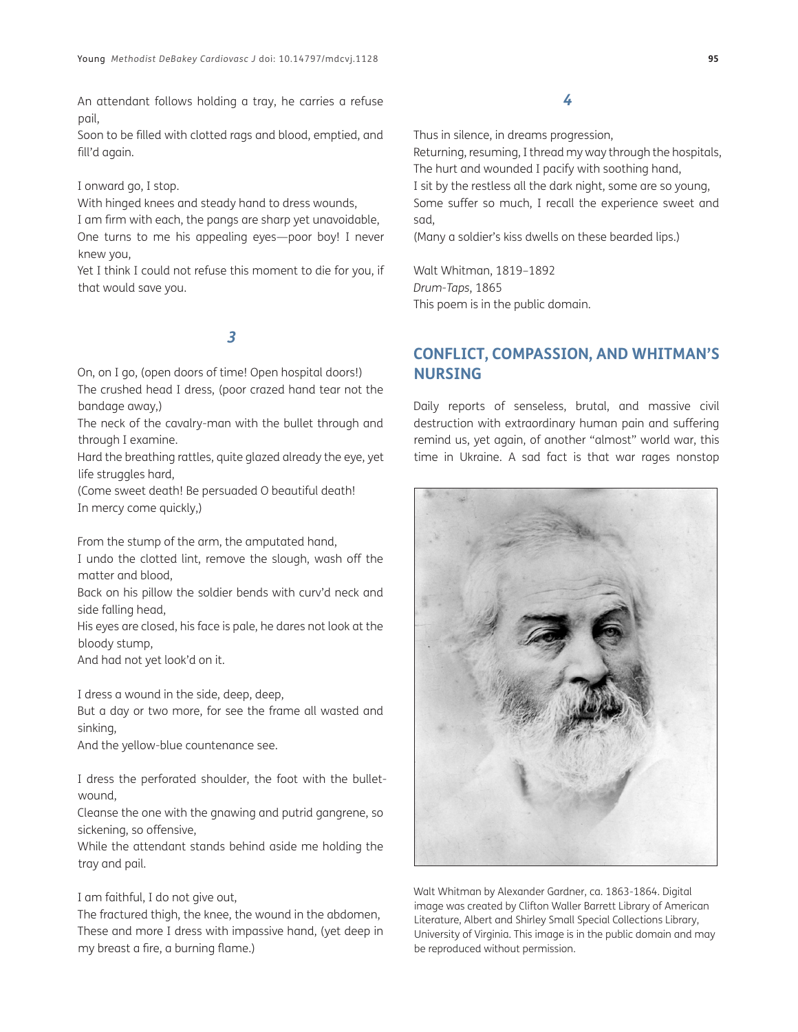An attendant follows holding a tray, he carries a refuse pail,

Soon to be filled with clotted rags and blood, emptied, and fill'd again.

#### I onward go, I stop.

With hinged knees and steady hand to dress wounds,

I am firm with each, the pangs are sharp yet unavoidable, One turns to me his appealing eyes—poor boy! I never knew you,

Yet I think I could not refuse this moment to die for you, if that would save you.

#### **3**

On, on I go, (open doors of time! Open hospital doors!)

The crushed head I dress, (poor crazed hand tear not the bandage away,)

The neck of the cavalry-man with the bullet through and through I examine.

Hard the breathing rattles, quite glazed already the eye, yet life struggles hard,

(Come sweet death! Be persuaded O beautiful death! In mercy come quickly,)

From the stump of the arm, the amputated hand,

I undo the clotted lint, remove the slough, wash off the matter and blood,

Back on his pillow the soldier bends with curv'd neck and side falling head,

His eyes are closed, his face is pale, he dares not look at the bloody stump,

And had not yet look'd on it.

I dress a wound in the side, deep, deep,

But a day or two more, for see the frame all wasted and sinking,

And the yellow-blue countenance see.

I dress the perforated shoulder, the foot with the bulletwound,

Cleanse the one with the gnawing and putrid gangrene, so sickening, so offensive,

While the attendant stands behind aside me holding the tray and pail.

#### I am faithful, I do not give out,

The fractured thigh, the knee, the wound in the abdomen, These and more I dress with impassive hand, (yet deep in my breast a fire, a burning flame.)

#### **4**

Thus in silence, in dreams progression,

Returning, resuming, I thread my way through the hospitals, The hurt and wounded I pacify with soothing hand, I sit by the restless all the dark night, some are so young, Some suffer so much, I recall the experience sweet and sad,

(Many a soldier's kiss dwells on these bearded lips.)

Walt Whitman, 1819–1892 *Drum-Taps*, 1865 This poem is in the public domain.

#### **CONFLICT, COMPASSION, AND WHITMAN'S NURSING**

Daily reports of senseless, brutal, and massive civil destruction with extraordinary human pain and suffering remind us, yet again, of another "almost" world war, this time in Ukraine. A sad fact is that war rages nonstop



Walt Whitman by Alexander Gardner, ca. 1863-1864. Digital image was created by Clifton Waller Barrett Library of American Literature, Albert and Shirley Small Special Collections Library, University of Virginia. This image is in the public domain and may be reproduced without permission.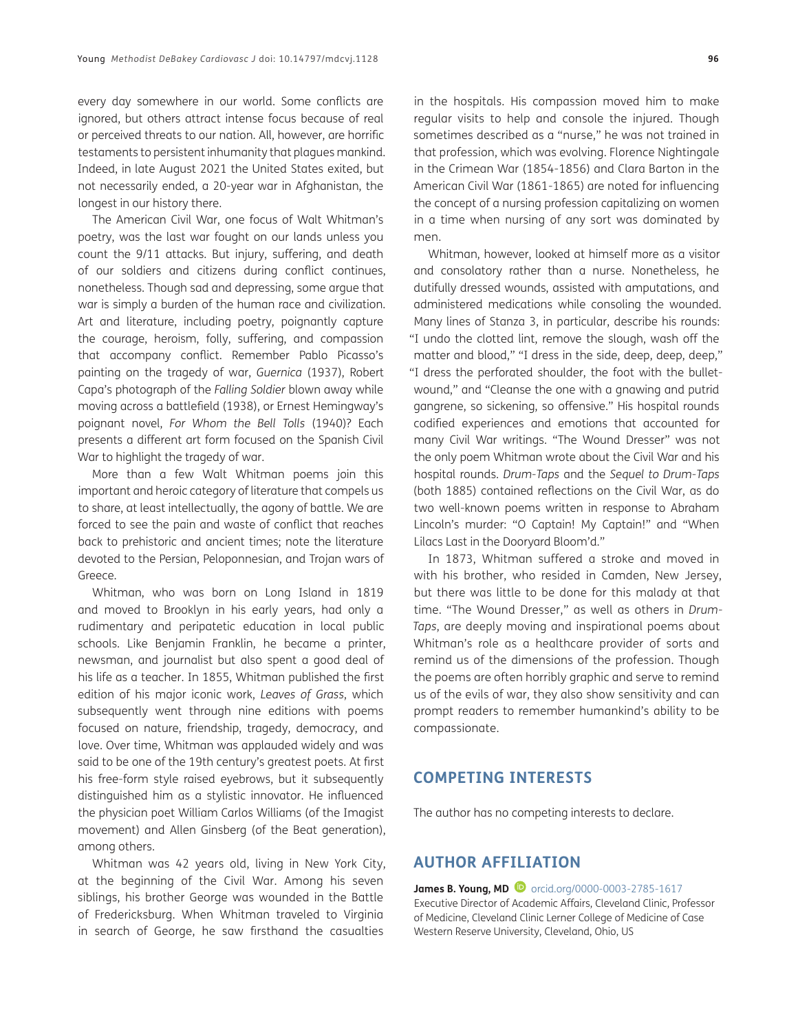every day somewhere in our world. Some conflicts are ignored, but others attract intense focus because of real or perceived threats to our nation. All, however, are horrific testaments to persistent inhumanity that plagues mankind. Indeed, in late August 2021 the United States exited, but not necessarily ended, a 20-year war in Afghanistan, the longest in our history there.

The American Civil War, one focus of Walt Whitman's poetry, was the last war fought on our lands unless you count the 9/11 attacks. But injury, suffering, and death of our soldiers and citizens during conflict continues, nonetheless. Though sad and depressing, some argue that war is simply a burden of the human race and civilization. Art and literature, including poetry, poignantly capture the courage, heroism, folly, suffering, and compassion that accompany conflict. Remember Pablo Picasso's painting on the tragedy of war, *Guernica* (1937), Robert Capa's photograph of the *Falling Soldier* blown away while moving across a battlefield (1938), or Ernest Hemingway's poignant novel, *For Whom the Bell Tolls* (1940)? Each presents a different art form focused on the Spanish Civil War to highlight the tragedy of war.

More than a few Walt Whitman poems join this important and heroic category of literature that compels us to share, at least intellectually, the agony of battle. We are forced to see the pain and waste of conflict that reaches back to prehistoric and ancient times; note the literature devoted to the Persian, Peloponnesian, and Trojan wars of Greece.

Whitman, who was born on Long Island in 1819 and moved to Brooklyn in his early years, had only a rudimentary and peripatetic education in local public schools. Like Benjamin Franklin, he became a printer, newsman, and journalist but also spent a good deal of his life as a teacher. In 1855, Whitman published the first edition of his major iconic work, *Leaves of Grass*, which subsequently went through nine editions with poems focused on nature, friendship, tragedy, democracy, and love. Over time, Whitman was applauded widely and was said to be one of the 19th century's greatest poets. At first his free-form style raised eyebrows, but it subsequently distinguished him as a stylistic innovator. He influenced the physician poet William Carlos Williams (of the Imagist movement) and Allen Ginsberg (of the Beat generation), among others.

Whitman was 42 years old, living in New York City, at the beginning of the Civil War. Among his seven siblings, his brother George was wounded in the Battle of Fredericksburg. When Whitman traveled to Virginia in search of George, he saw firsthand the casualties

in the hospitals. His compassion moved him to make regular visits to help and console the injured. Though sometimes described as a "nurse," he was not trained in that profession, which was evolving. Florence Nightingale in the Crimean War (1854-1856) and Clara Barton in the American Civil War (1861-1865) are noted for influencing the concept of a nursing profession capitalizing on women in a time when nursing of any sort was dominated by men.

Whitman, however, looked at himself more as a visitor and consolatory rather than a nurse. Nonetheless, he dutifully dressed wounds, assisted with amputations, and administered medications while consoling the wounded. Many lines of Stanza 3, in particular, describe his rounds: "I undo the clotted lint, remove the slough, wash off the matter and blood," "I dress in the side, deep, deep, deep," "I dress the perforated shoulder, the foot with the bulletwound," and "Cleanse the one with a gnawing and putrid gangrene, so sickening, so offensive." His hospital rounds codified experiences and emotions that accounted for many Civil War writings. "The Wound Dresser" was not the only poem Whitman wrote about the Civil War and his hospital rounds. *Drum-Taps* and the *Sequel to Drum-Taps* (both 1885) contained reflections on the Civil War, as do two well-known poems written in response to Abraham Lincoln's murder: "O Captain! My Captain!" and "When Lilacs Last in the Dooryard Bloom'd."

In 1873, Whitman suffered a stroke and moved in with his brother, who resided in Camden, New Jersey, but there was little to be done for this malady at that time. "The Wound Dresser," as well as others in *Drum-Taps*, are deeply moving and inspirational poems about Whitman's role as a healthcare provider of sorts and remind us of the dimensions of the profession. Though the poems are often horribly graphic and serve to remind us of the evils of war, they also show sensitivity and can prompt readers to remember humankind's ability to be compassionate.

#### **COMPETING INTERESTS**

The author has no competing interests to declare.

#### **AUTHOR AFFILIATION**

**James B. Young, MD D** [orcid.org/0000-0003-2785-1617](http://orcid.org/0000-0003-2785-1617) Executive Director of Academic Affairs, Cleveland Clinic, Professor of Medicine, Cleveland Clinic Lerner College of Medicine of Case Western Reserve University, Cleveland, Ohio, US